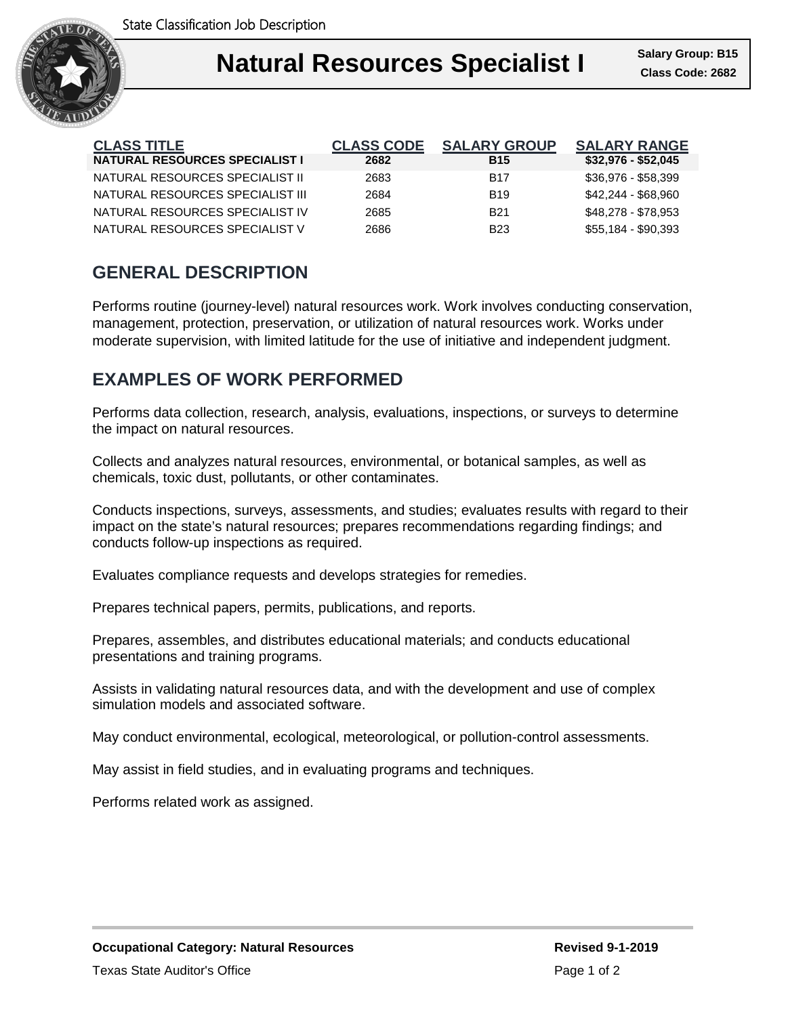

| <b>CLASS TITLE</b>                    | <b>CLASS CODE</b> | <b>SALARY GROUP</b> | <b>SALARY RANGE</b> |
|---------------------------------------|-------------------|---------------------|---------------------|
| <b>NATURAL RESOURCES SPECIALIST I</b> | 2682              | <b>B15</b>          | $$32,976 - $52,045$ |
| NATURAL RESOURCES SPECIALIST II       | 2683              | <b>B17</b>          | \$36,976 - \$58,399 |
| NATURAL RESOURCES SPECIALIST III      | 2684              | <b>B</b> 19         | \$42,244 - \$68,960 |
| NATURAL RESOURCES SPECIALIST IV       | 2685              | <b>B21</b>          | \$48,278 - \$78,953 |
| NATURAL RESOURCES SPECIALIST V        | 2686              | <b>B23</b>          | \$55,184 - \$90,393 |

## **GENERAL DESCRIPTION**

Performs routine (journey-level) natural resources work. Work involves conducting conservation, management, protection, preservation, or utilization of natural resources work. Works under moderate supervision, with limited latitude for the use of initiative and independent judgment.

## **EXAMPLES OF WORK PERFORMED**

Performs data collection, research, analysis, evaluations, inspections, or surveys to determine the impact on natural resources.

Collects and analyzes natural resources, environmental, or botanical samples, as well as chemicals, toxic dust, pollutants, or other contaminates.

Conducts inspections, surveys, assessments, and studies; evaluates results with regard to their impact on the state's natural resources; prepares recommendations regarding findings; and conducts follow-up inspections as required.

Evaluates compliance requests and develops strategies for remedies.

Prepares technical papers, permits, publications, and reports.

Prepares, assembles, and distributes educational materials; and conducts educational presentations and training programs.

Assists in validating natural resources data, and with the development and use of complex simulation models and associated software.

May conduct environmental, ecological, meteorological, or pollution-control assessments.

May assist in field studies, and in evaluating programs and techniques.

Performs related work as assigned.